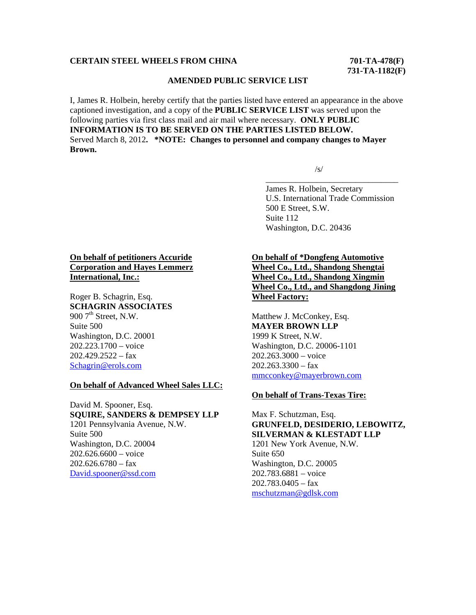## **CERTAIN STEEL WHEELS FROM CHINA 701-TA-478(F)**

 **731-TA-1182(F)** 

## **AMENDED PUBLIC SERVICE LIST**

I, James R. Holbein, hereby certify that the parties listed have entered an appearance in the above captioned investigation, and a copy of the **PUBLIC SERVICE LIST** was served upon the following parties via first class mail and air mail where necessary. **ONLY PUBLIC INFORMATION IS TO BE SERVED ON THE PARTIES LISTED BELOW.**  Served March 8, 2012**. \*NOTE: Changes to personnel and company changes to Mayer Brown.** 

 $\overline{\phantom{a}}$  , and the contract of the contract of the contract of the contract of the contract of the contract of the contract of the contract of the contract of the contract of the contract of the contract of the contrac

 $\sqrt{s}$ /s/

 James R. Holbein, Secretary U.S. International Trade Commission 500 E Street, S.W. Suite 112 Washington, D.C. 20436

# **On behalf of petitioners Accuride Corporation and Hayes Lemmerz International, Inc.:**

Roger B. Schagrin, Esq. **SCHAGRIN ASSOCIATES** 900  $7<sup>th</sup>$  Street, N.W. Suite 500 Washington, D.C. 20001 202.223.1700 – voice  $202.429.2522 - fax$ Schagrin@erols.com

#### **On behalf of Advanced Wheel Sales LLC:**

David M. Spooner, Esq. **SQUIRE, SANDERS & DEMPSEY LLP** 1201 Pennsylvania Avenue, N.W. Suite 500 Washington, D.C. 20004 202.626.6600 – voice  $202.626.6780 - fax$ David.spooner@ssd.com

# **On behalf of \*Dongfeng Automotive Wheel Co., Ltd., Shandong Shengtai Wheel Co., Ltd., Shandong Xingmin Wheel Co., Ltd., and Shangdong Jining Wheel Factory:**

Matthew J. McConkey, Esq. **MAYER BROWN LLP** 1999 K Street, N.W. Washington, D.C. 20006-1101 202.263.3000 – voice  $202.263.3300 - fax$ mmcconkey@mayerbrown.com

#### **On behalf of Trans-Texas Tire:**

Max F. Schutzman, Esq. **GRUNFELD, DESIDERIO, LEBOWITZ, SILVERMAN & KLESTADT LLP** 1201 New York Avenue, N.W. Suite 650 Washington, D.C. 20005 202.783.6881 – voice 202.783.0405 – fax mschutzman@gdlsk.com